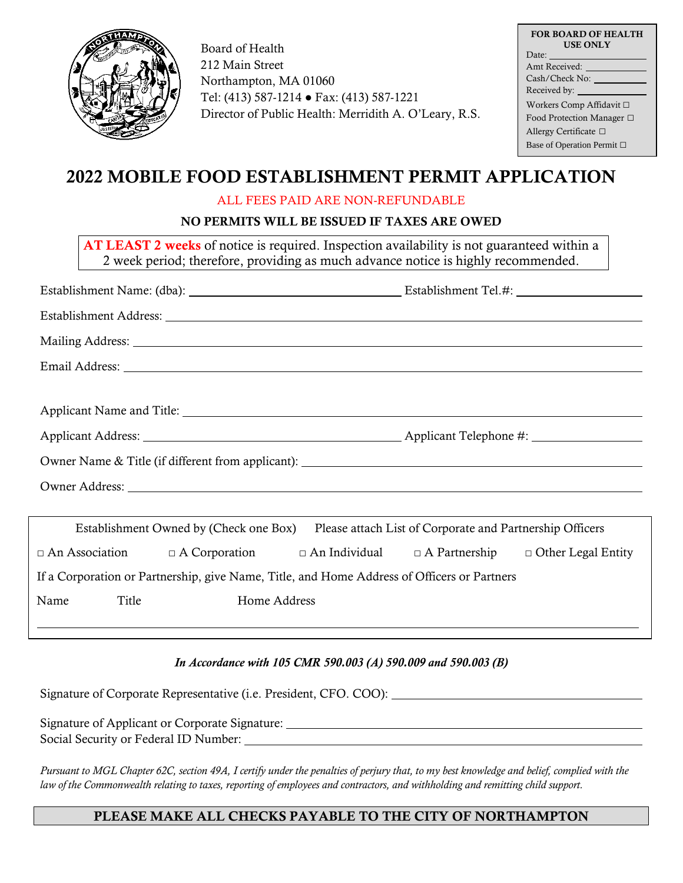

Board of Health 212 Main Street Northampton, MA 01060 Tel: (413) 587-1214 ● Fax: (413) 587-1221 Director of Public Health: Merridith A. O'Leary, R.S.

| <b>FOR BOARD OF HEALTH</b><br><b>USE ONLY</b> |  |  |  |
|-----------------------------------------------|--|--|--|
| Date:                                         |  |  |  |
| Amt Received:                                 |  |  |  |
| Cash/Check No:                                |  |  |  |
| Received by:                                  |  |  |  |
| Workers Comp Affidavit □                      |  |  |  |
| Food Protection Manager □                     |  |  |  |
| Allergy Certificate $\Box$                    |  |  |  |
| Base of Operation Permit □                    |  |  |  |

# 2022 MOBILE FOOD ESTABLISHMENT PERMIT APPLICATION

### ALL FEES PAID ARE NON-REFUNDABLE

## NO PERMITS WILL BE ISSUED IF TAXES ARE OWED

AT LEAST 2 weeks of notice is required. Inspection availability is not guaranteed within a 2 week period; therefore, providing as much advance notice is highly recommended.

| Establishment Address: Lawrence and Contact and Contact and Contact and Contact and Contact and Contact and Contact and Contact and Contact and Contact and Contact and Contact and Contact and Contact and Contact and Contac |              |  |  |  |  |
|--------------------------------------------------------------------------------------------------------------------------------------------------------------------------------------------------------------------------------|--------------|--|--|--|--|
|                                                                                                                                                                                                                                |              |  |  |  |  |
|                                                                                                                                                                                                                                |              |  |  |  |  |
|                                                                                                                                                                                                                                |              |  |  |  |  |
|                                                                                                                                                                                                                                |              |  |  |  |  |
|                                                                                                                                                                                                                                |              |  |  |  |  |
|                                                                                                                                                                                                                                |              |  |  |  |  |
| Owner Address: Note that the contract of the contract of the contract of the contract of the contract of the contract of the contract of the contract of the contract of the contract of the contract of the contract of the c |              |  |  |  |  |
|                                                                                                                                                                                                                                |              |  |  |  |  |
| Establishment Owned by (Check one Box)<br>Please attach List of Corporate and Partnership Officers                                                                                                                             |              |  |  |  |  |
| $\Box$ An Association $\Box$ A Corporation $\Box$ An Individual $\Box$ A Partnership $\Box$ Other Legal Entity                                                                                                                 |              |  |  |  |  |
| If a Corporation or Partnership, give Name, Title, and Home Address of Officers or Partners                                                                                                                                    |              |  |  |  |  |
| Title<br>Name                                                                                                                                                                                                                  | Home Address |  |  |  |  |
|                                                                                                                                                                                                                                |              |  |  |  |  |

#### *In Accordance with 105 CMR 590.003 (A) 590.009 and 590.003 (B)*

Signature of Corporate Representative (i.e. President, CFO. COO):

Signature of Applicant or Corporate Signature: Social Security or Federal ID Number:

*Pursuant to MGL Chapter 62C, section 49A, I certify under the penalties of perjury that, to my best knowledge and belief, complied with the law of the Commonwealth relating to taxes, reporting of employees and contractors, and withholding and remitting child support.*

## PLEASE MAKE ALL CHECKS PAYABLE TO THE CITY OF NORTHAMPTON